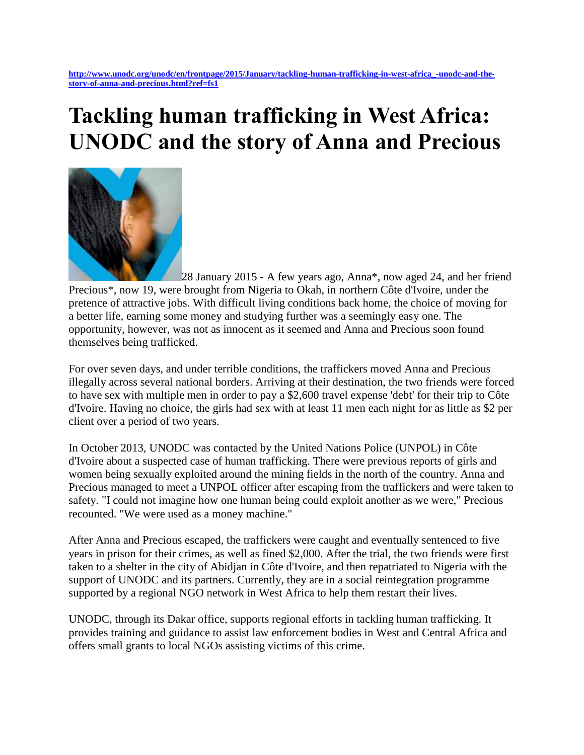## **Tackling human trafficking in West Africa: UNODC and the story of Anna and Precious**



28 January 2015 - A few years ago, Anna\*, now aged 24, and her friend Precious\*, now 19, were brought from Nigeria to Okah, in northern Côte d'Ivoire, under the pretence of attractive jobs. With difficult living conditions back home, the choice of moving for a better life, earning some money and studying further was a seemingly easy one. The opportunity, however, was not as innocent as it seemed and Anna and Precious soon found themselves being trafficked.

For over seven days, and under terrible conditions, the traffickers moved Anna and Precious illegally across several national borders. Arriving at their destination, the two friends were forced to have sex with multiple men in order to pay a \$2,600 travel expense 'debt' for their trip to Côte d'Ivoire. Having no choice, the girls had sex with at least 11 men each night for as little as \$2 per client over a period of two years.

In October 2013, UNODC was contacted by the United Nations Police (UNPOL) in Côte d'Ivoire about a suspected case of human trafficking. There were previous reports of girls and women being sexually exploited around the mining fields in the north of the country. Anna and Precious managed to meet a UNPOL officer after escaping from the traffickers and were taken to safety. "I could not imagine how one human being could exploit another as we were," Precious recounted. "We were used as a money machine."

After Anna and Precious escaped, the traffickers were caught and eventually sentenced to five years in prison for their crimes, as well as fined \$2,000. After the trial, the two friends were first taken to a shelter in the city of Abidjan in Côte d'Ivoire, and then repatriated to Nigeria with the support of UNODC and its partners. Currently, they are in a social reintegration programme supported by a regional NGO network in West Africa to help them restart their lives.

UNODC, through its Dakar office, supports regional efforts in tackling human trafficking. It provides training and guidance to assist law enforcement bodies in West and Central Africa and offers small grants to local NGOs assisting victims of this crime.